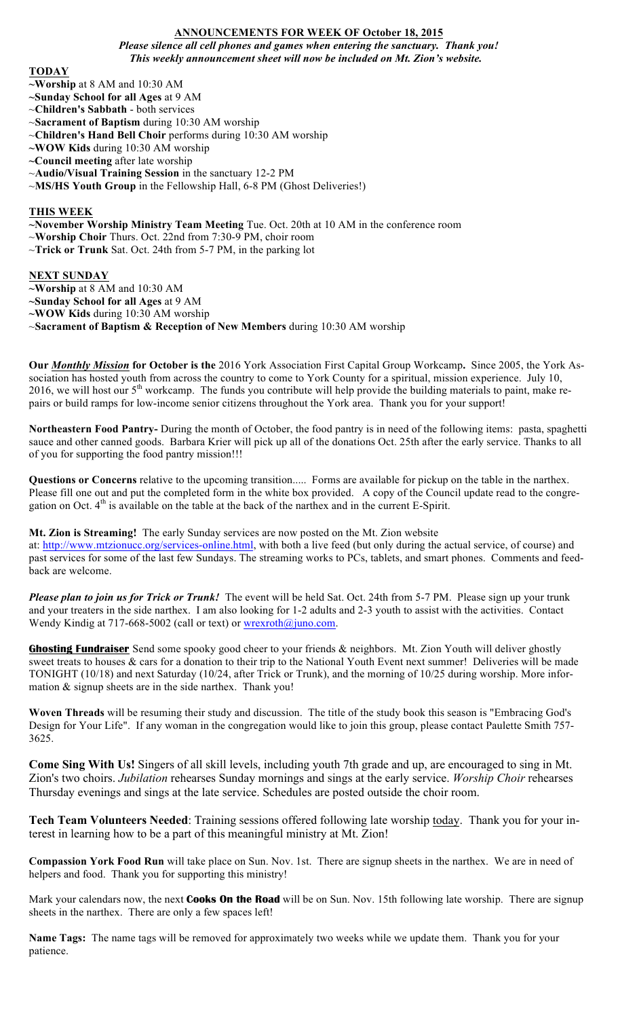#### **ANNOUNCEMENTS FOR WEEK OF October 18, 2015**

*Please silence all cell phones and games when entering the sanctuary. Thank you! This weekly announcement sheet will now be included on Mt. Zion's website.*

## **TODAY**

**~Worship** at 8 AM and 10:30 AM

- **~Sunday School for all Ages** at 9 AM
- ~**Children's Sabbath** both services
- ~**Sacrament of Baptism** during 10:30 AM worship
- ~**Children's Hand Bell Choir** performs during 10:30 AM worship
- **~WOW Kids** during 10:30 AM worship
- **~Council meeting** after late worship
- ~**Audio/Visual Training Session** in the sanctuary 12-2 PM
- ~**MS/HS Youth Group** in the Fellowship Hall, 6-8 PM (Ghost Deliveries!)

### **THIS WEEK**

**~November Worship Ministry Team Meeting** Tue. Oct. 20th at 10 AM in the conference room

- ~**Worship Choir** Thurs. Oct. 22nd from 7:30-9 PM, choir room
- ~**Trick or Trunk** Sat. Oct. 24th from 5-7 PM, in the parking lot

#### **NEXT SUNDAY**

**~Worship** at 8 AM and 10:30 AM

**~Sunday School for all Ages** at 9 AM

**~WOW Kids** during 10:30 AM worship

~**Sacrament of Baptism & Reception of New Members** during 10:30 AM worship

**Our** *Monthly Mission* **for October is the** 2016 York Association First Capital Group Workcamp**.** Since 2005, the York Association has hosted youth from across the country to come to York County for a spiritual, mission experience. July 10, 2016, we will host our  $5<sup>th</sup>$  workcamp. The funds you contribute will help provide the building materials to paint, make repairs or build ramps for low-income senior citizens throughout the York area. Thank you for your support!

**Northeastern Food Pantry-** During the month of October, the food pantry is in need of the following items: pasta, spaghetti sauce and other canned goods. Barbara Krier will pick up all of the donations Oct. 25th after the early service. Thanks to all of you for supporting the food pantry mission!!!

**Questions or Concerns** relative to the upcoming transition..... Forms are available for pickup on the table in the narthex. Please fill one out and put the completed form in the white box provided. A copy of the Council update read to the congregation on Oct.  $4<sup>th</sup>$  is available on the table at the back of the narthex and in the current E-Spirit.

**Mt. Zion is Streaming!** The early Sunday services are now posted on the Mt. Zion website at: http://www.mtzionucc.org/services-online.html, with both a live feed (but only during the actual service, of course) and past services for some of the last few Sundays. The streaming works to PCs, tablets, and smart phones. Comments and feedback are welcome.

*Please plan to join us for Trick or Trunk!* The event will be held Sat. Oct. 24th from 5-7 PM. Please sign up your trunk and your treaters in the side narthex. I am also looking for 1-2 adults and 2-3 youth to assist with the activities. Contact Wendy Kindig at 717-668-5002 (call or text) or wrexroth@juno.com.

**Ghosting Fundraiser** Send some spooky good cheer to your friends & neighbors. Mt. Zion Youth will deliver ghostly sweet treats to houses & cars for a donation to their trip to the National Youth Event next summer! Deliveries will be made TONIGHT (10/18) and next Saturday (10/24, after Trick or Trunk), and the morning of 10/25 during worship. More information & signup sheets are in the side narthex. Thank you!

**Woven Threads** will be resuming their study and discussion. The title of the study book this season is "Embracing God's Design for Your Life". If any woman in the congregation would like to join this group, please contact Paulette Smith 757- 3625.

**Come Sing With Us!** Singers of all skill levels, including youth 7th grade and up, are encouraged to sing in Mt. Zion's two choirs. *Jubilation* rehearses Sunday mornings and sings at the early service. *Worship Choir* rehearses Thursday evenings and sings at the late service. Schedules are posted outside the choir room.

**Tech Team Volunteers Needed**: Training sessions offered following late worship today. Thank you for your interest in learning how to be a part of this meaningful ministry at Mt. Zion!

**Compassion York Food Run** will take place on Sun. Nov. 1st. There are signup sheets in the narthex. We are in need of helpers and food. Thank you for supporting this ministry!

Mark your calendars now, the next **Cooks On the Road** will be on Sun. Nov. 15th following late worship. There are signup sheets in the narthex. There are only a few spaces left!

**Name Tags:** The name tags will be removed for approximately two weeks while we update them.Thank you for your patience.